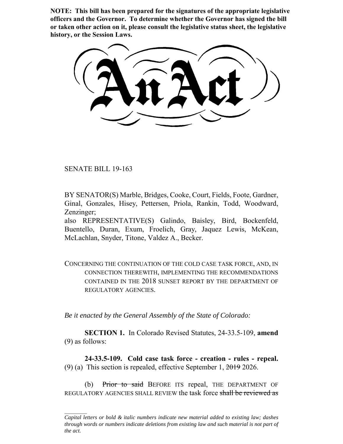**NOTE: This bill has been prepared for the signatures of the appropriate legislative officers and the Governor. To determine whether the Governor has signed the bill or taken other action on it, please consult the legislative status sheet, the legislative history, or the Session Laws.**

SENATE BILL 19-163

BY SENATOR(S) Marble, Bridges, Cooke, Court, Fields, Foote, Gardner, Ginal, Gonzales, Hisey, Pettersen, Priola, Rankin, Todd, Woodward, Zenzinger;

also REPRESENTATIVE(S) Galindo, Baisley, Bird, Bockenfeld, Buentello, Duran, Exum, Froelich, Gray, Jaquez Lewis, McKean, McLachlan, Snyder, Titone, Valdez A., Becker.

CONCERNING THE CONTINUATION OF THE COLD CASE TASK FORCE, AND, IN CONNECTION THEREWITH, IMPLEMENTING THE RECOMMENDATIONS CONTAINED IN THE 2018 SUNSET REPORT BY THE DEPARTMENT OF REGULATORY AGENCIES.

*Be it enacted by the General Assembly of the State of Colorado:*

**SECTION 1.** In Colorado Revised Statutes, 24-33.5-109, **amend** (9) as follows:

**24-33.5-109. Cold case task force - creation - rules - repeal.** (9) (a) This section is repealed, effective September 1,  $2019$  2026.

(b) Prior to said BEFORE ITS repeal, THE DEPARTMENT OF REGULATORY AGENCIES SHALL REVIEW the task force shall be reviewed as

*Capital letters or bold & italic numbers indicate new material added to existing law; dashes through words or numbers indicate deletions from existing law and such material is not part of the act.*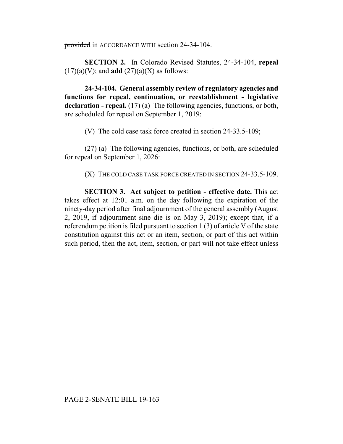provided in ACCORDANCE WITH section 24-34-104.

**SECTION 2.** In Colorado Revised Statutes, 24-34-104, **repeal**  $(17)(a)(V)$ ; and **add**  $(27)(a)(X)$  as follows:

**24-34-104. General assembly review of regulatory agencies and functions for repeal, continuation, or reestablishment - legislative** declaration - repeal. (17) (a) The following agencies, functions, or both, are scheduled for repeal on September 1, 2019:

(V) The cold case task force created in section  $24-33.5-109$ ;

(27) (a) The following agencies, functions, or both, are scheduled for repeal on September 1, 2026:

(X) THE COLD CASE TASK FORCE CREATED IN SECTION 24-33.5-109.

**SECTION 3. Act subject to petition - effective date.** This act takes effect at 12:01 a.m. on the day following the expiration of the ninety-day period after final adjournment of the general assembly (August 2, 2019, if adjournment sine die is on May 3, 2019); except that, if a referendum petition is filed pursuant to section 1 (3) of article V of the state constitution against this act or an item, section, or part of this act within such period, then the act, item, section, or part will not take effect unless